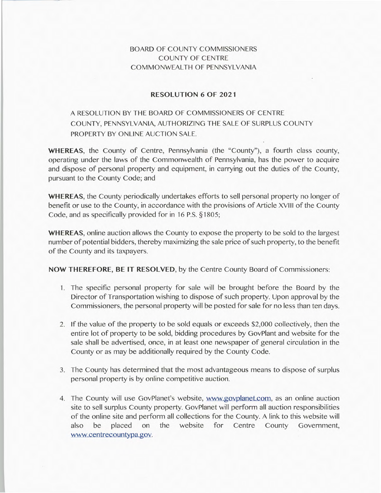## **BOARD** OF COUNTY COMMISSIONERS COUNTY OF CENTRE COMMONWEALTH OF PENNSYLVANIA

## **RESOLUTION 6 OF 2021**

## A RESOLUTION BY THE BOARD OF COMMISSIONERS OF CENTRE COUNTY, PENNSYLVANIA, AUTHORIZING THE SALE OF SURPLUS COUNTY PROPERTY BY ONLINE AUCTION SALE.

**WHEREAS,** the County of Centre, Pennsylvania (the "County"), a fourth class county, operating under the laws of the Commonwealth of Pennsylvania, has the power to acquire and dispose of personal property and equipment, in carrying out the duties of the County, pursuant to the County Code; and

**WHEREAS,** the County periodically undertakes efforts to sell personal property no longer of benefit or use to the County, in accordance with the provisions of Article XVIII of the County Code, and as specifically provided for in 16 P.S. § 1805;

**WHEREAS,** online auction allows the County to expose the property to be sold to the largest number of potential bidders, thereby maximizing the sale price of such property, to the benefit of the County and its taxpayers.

**NOW THEREFORE, BE IT RESOLVED,** by the Centre County Board of Commissioners:

- 1. The specific personal property for sale will be brought before the Board by the Director of Transportation wishing to dispose of such property. Upon approval by the Commissioners, the personal property will be posted for sale for no less than ten days.
- 2. If the value of the property to be sold equals or exceeds \$2,000 collectively, then the entire lot of property to be sold, bidding procedures by GovPlant and website for the sale shall be advertised, once, in at least one newspaper of general circulation in the County or as may be additionally required by the County Code.
- 3. The County has determined that the most advantageous means to dispose of surplus personal property is by online competitive auction.
- 4. The County will use GovPlanet's website, www.govplanet.com, as an online auction site to sell surplus County property. GovPlanet will perform all auction responsibilities of the online site and perform all collections for the County. A link to this website will also be placed on the website for Centre County Government, www.centrecountypa.gov.